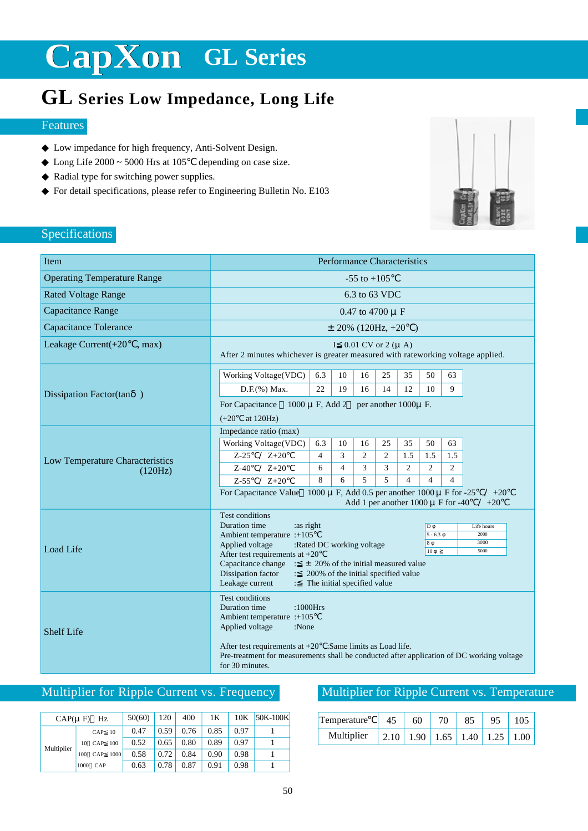### **GL Series Low Impedance, Long Life**

#### Features

Low impedance for high frequency, Anti-Solvent Design. Long Life  $2000 \sim 5000$  Hrs at  $105$  depending on case size. Radial type for switching power supplies. For detail specifications, please refer to Engineering Bulletin No. E103



#### Specifications

| Item                               | <b>Performance Characteristics</b>                                                                                                                                                                                                                                                                                                                                                                                                                               |  |  |  |  |  |  |  |  |
|------------------------------------|------------------------------------------------------------------------------------------------------------------------------------------------------------------------------------------------------------------------------------------------------------------------------------------------------------------------------------------------------------------------------------------------------------------------------------------------------------------|--|--|--|--|--|--|--|--|
| <b>Operating Temperature Range</b> | $-55$ to $+105$                                                                                                                                                                                                                                                                                                                                                                                                                                                  |  |  |  |  |  |  |  |  |
| <b>Rated Voltage Range</b>         | 6.3 to 63 VDC                                                                                                                                                                                                                                                                                                                                                                                                                                                    |  |  |  |  |  |  |  |  |
| Capacitance Range                  | 0.47 to 4700 $\mu$ F                                                                                                                                                                                                                                                                                                                                                                                                                                             |  |  |  |  |  |  |  |  |
| Capacitance Tolerance              | $\pm$ 20% (120Hz, +20)                                                                                                                                                                                                                                                                                                                                                                                                                                           |  |  |  |  |  |  |  |  |
| Leakage Current(+20<br>, max)      | I 0.01 CV or 2 $(\mu A)$<br>After 2 minutes whichever is greater measured with rateworking voltage applied.                                                                                                                                                                                                                                                                                                                                                      |  |  |  |  |  |  |  |  |
|                                    | Working Voltage(VDC)<br>10<br>25<br>35<br>50<br>6.3<br>16<br>63                                                                                                                                                                                                                                                                                                                                                                                                  |  |  |  |  |  |  |  |  |
| Dissipation Factor(tan )           | D.F.(%) Max.<br>22<br>19<br>12<br>9<br>16<br>14<br>10                                                                                                                                                                                                                                                                                                                                                                                                            |  |  |  |  |  |  |  |  |
|                                    | For Capacitance<br>$1000 \mu F$ , Add 2<br>per another 1000µ F.<br>at $120Hz$ )<br>$(+20)$                                                                                                                                                                                                                                                                                                                                                                       |  |  |  |  |  |  |  |  |
|                                    | Impedance ratio (max)                                                                                                                                                                                                                                                                                                                                                                                                                                            |  |  |  |  |  |  |  |  |
|                                    | Working Voltage(VDC)<br>6.3<br>10<br>16<br>25<br>35<br>50<br>63                                                                                                                                                                                                                                                                                                                                                                                                  |  |  |  |  |  |  |  |  |
| Low Temperature Characteristics    | 3<br>$\overline{c}$<br>4<br>2<br>1.5<br>1.5<br>1.5<br>$Z-25$<br>$Z+20$<br>$\overline{2}$<br>3<br>3<br>$\overline{2}$<br>$\overline{2}$<br>6<br>$\overline{4}$<br>$Z+20$                                                                                                                                                                                                                                                                                          |  |  |  |  |  |  |  |  |
| (120Hz)                            | $Z-40$<br>5<br>5<br>8<br>6<br>$\overline{4}$<br>$\overline{4}$<br>$\overline{4}$<br>$Z-55$<br>$Z+20$                                                                                                                                                                                                                                                                                                                                                             |  |  |  |  |  |  |  |  |
|                                    | For Capacitance Value 1000 $\mu$ F, Add 0.5 per another 1000 $\mu$ F for -25<br>$+20$<br>Add 1 per another $1000 \mu$ F for -40<br>$+20$                                                                                                                                                                                                                                                                                                                         |  |  |  |  |  |  |  |  |
| Load Life                          | <b>Test conditions</b><br>Duration time<br>:as right<br>D<br>Life hours<br>Ambient temperature :+105<br>$5 - 6.3$<br>2000<br>3000<br>$\sqrt{8}$<br>Applied voltage<br>:Rated DC working voltage<br>10<br>5000<br>After test requirements at $+20$<br>Capacitance change $\div$ ± 20% of the initial measured value<br>Dissipation factor<br>200% of the initial specified value<br>$\mathcal{L}^{\mathcal{L}}$<br>Leakage current<br>The initial specified value |  |  |  |  |  |  |  |  |
| <b>Shelf Life</b>                  | <b>Test conditions</b><br>Duration time<br>$:1000$ Hrs<br>Ambient temperature :+105<br>Applied voltage<br>:None<br>After test requirements at $+20$ : Same limits as Load life.<br>Pre-treatment for measurements shall be conducted after application of DC working voltage<br>for 30 minutes.                                                                                                                                                                  |  |  |  |  |  |  |  |  |

#### Multiplier for Ripple Current vs. Frequency

| $CAP(\mu F)$ | Hz                 | 50(60) | 120  | 400  | 1Κ   | 10K  | 50K-100K |
|--------------|--------------------|--------|------|------|------|------|----------|
| Multiplier   | CAP<br>10          | 0.47   | 0.59 | 0.76 | 0.85 | 0.97 |          |
|              | CAP<br>100<br>10   | 0.52   | 0.65 | 0.80 | 0.89 | 0.97 |          |
|              | 1000<br>CAP<br>100 | 0.58   | 0.72 | 0.84 | 0.90 | 0.98 |          |
|              | 1000<br>CAP        | 0.63   | 0.78 | 0.87 | 0.91 | 0.98 |          |

#### Multiplier for Ripple Current vs. Temperature

| Temperature | 60   | 70                   | 85 |       |
|-------------|------|----------------------|----|-------|
| Multiplier  | 1.90 | $1.65$   1.40   1.25 |    | -1.00 |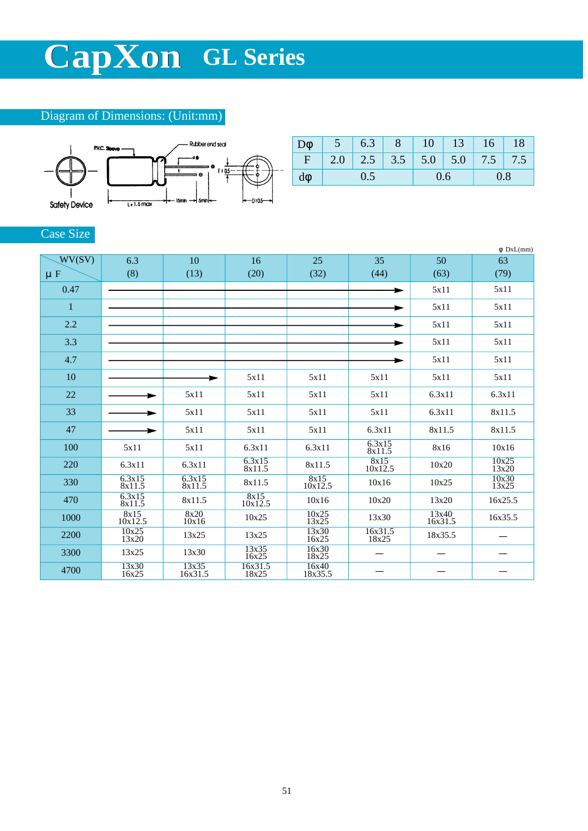#### Diagram of Dimensions: (Unit:mm)



|             |     | 6.3 |  | 10  |                                           | $13 \mid 16$ | 18 |
|-------------|-----|-----|--|-----|-------------------------------------------|--------------|----|
| $\mathbf F$ |     |     |  |     | $2.0$   2.5   3.5   5.0   5.0   7.5   7.5 |              |    |
|             | 0.5 |     |  | 0.6 |                                           | 0.8          |    |

#### Case Size

|         |                  |                  |                  |                  |                        |                  | DxL(mm)               |
|---------|------------------|------------------|------------------|------------------|------------------------|------------------|-----------------------|
| WV(SV)  | 6.3              | 10               | 16               | 25               | 35                     | 50               | 63                    |
| $\mu$ F | (8)              | (13)             | (20)             | (32)             | (44)                   | (63)             | (79)                  |
| 0.47    |                  |                  |                  |                  |                        | 5x11             | 5x11                  |
| 1       |                  |                  |                  |                  |                        | 5x11             | 5x11                  |
| 2.2     |                  |                  |                  |                  |                        | 5x11             | 5x11                  |
| 3.3     |                  |                  |                  |                  |                        | 5x11             | 5x11                  |
| 4.7     |                  |                  |                  |                  |                        | 5x11             | 5x11                  |
| 10      |                  |                  | 5x11             | 5x11             | 5x11                   | 5x11             | 5x11                  |
| 22      |                  | 5x11             | 5x11             | 5x11             | 5x11                   | 6.3x11           | 6.3x11                |
| 33      |                  | 5x11             | 5x11             | 5x11             | 5x11                   | 6.3x11           | 8x11.5                |
| 47      |                  | 5x11             | 5x11             | 5x11             | 6.3x11                 | 8x11.5           | 8x11.5                |
| 100     | 5x11             | 5x11             | 6.3x11           | 6.3x11           | 6.3x15<br>8x11.5       | 8x16             | 10x16                 |
| 220     | 6.3x11           | 6.3x11           | 6.3x15<br>8x11.5 | 8x11.5           | $\frac{8x15}{10x12.5}$ | 10x20            | 10x25<br>13x20        |
| 330     | 6.3x15<br>8x11.5 | 6.3x15<br>8x11.5 | 8x11.5           | 8x15<br>10x12.5  | 10x16                  | 10x25            | $\frac{10x30}{13x25}$ |
| 470     | 6.3x15<br>8x11.5 | 8x11.5           | 8x15<br>10x12.5  | 10x16            | 10x20                  | 13x20            | 16x25.5               |
| 1000    | 8x15<br>10x12.5  | 8x20<br>10x16    | 10x25            | 10x25<br>13x25   | 13x30                  | 13x40<br>16x31.5 | 16x35.5               |
| 2200    | 10x25<br>13x20   | 13x25            | 13x25            | 13x30<br>16x25   | 16x31.5<br>18x25       | 18x35.5          |                       |
| 3300    | 13x25            | 13x30            | 13x35<br>16x25   | 16x30<br>18x25   |                        |                  |                       |
| 4700    | 13x30<br>16x25   | 13x35<br>16x31.5 | 16x31.5<br>18x25 | 16x40<br>18x35.5 |                        |                  |                       |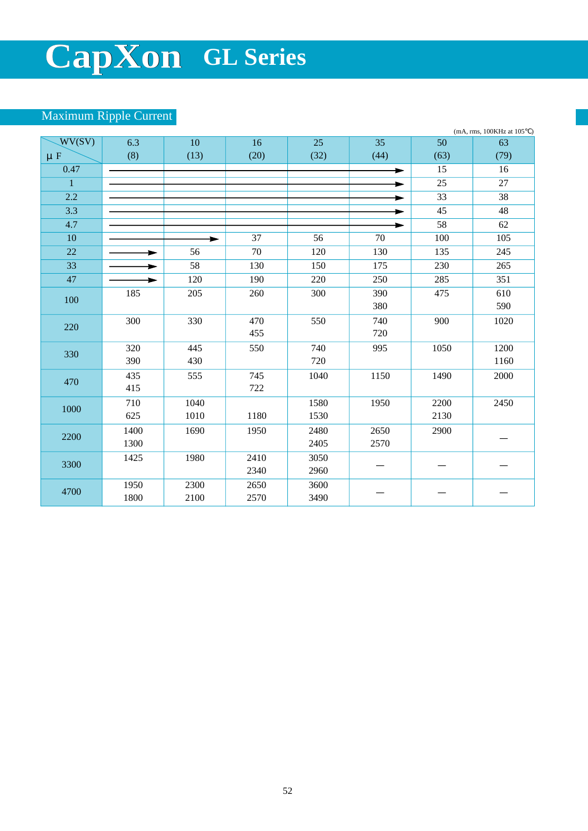#### Maximum Ripple Current

|                | (mA, rms, 100KHz at 105)<br>$\lambda$ |      |                 |      |      |      |      |  |
|----------------|---------------------------------------|------|-----------------|------|------|------|------|--|
| WV(SV)         | 6.3                                   | 10   | 16              | 25   | 35   | 50   | 63   |  |
| $\mu$ F        | (8)                                   | (13) | (20)            | (32) | (44) | (63) | (79) |  |
| 0.47           |                                       |      |                 |      |      | 15   | 16   |  |
| $\overline{1}$ |                                       |      |                 |      |      | 25   | 27   |  |
| 2.2            |                                       |      |                 |      |      | 33   | 38   |  |
| 3.3            |                                       |      |                 |      | ►    | 45   | 48   |  |
| 4.7            |                                       |      |                 |      | ►    | 58   | 62   |  |
| 10             |                                       | ►    | $\overline{37}$ | 56   | 70   | 100  | 105  |  |
| 22             |                                       | 56   | 70              | 120  | 130  | 135  | 245  |  |
| 33             |                                       | 58   | 130             | 150  | 175  | 230  | 265  |  |
| 47             |                                       | 120  | 190             | 220  | 250  | 285  | 351  |  |
| 100            | 185                                   | 205  | 260             | 300  | 390  | 475  | 610  |  |
|                |                                       |      |                 |      | 380  |      | 590  |  |
| 220            | 300                                   | 330  | 470             | 550  | 740  | 900  | 1020 |  |
|                |                                       |      | 455             |      | 720  |      |      |  |
| 330            | 320                                   | 445  | 550             | 740  | 995  | 1050 | 1200 |  |
|                | 390                                   | 430  |                 | 720  |      |      | 1160 |  |
| 470            | 435                                   | 555  | 745             | 1040 | 1150 | 1490 | 2000 |  |
|                | 415                                   |      | 722             |      |      |      |      |  |
| 1000           | 710                                   | 1040 |                 | 1580 | 1950 | 2200 | 2450 |  |
|                | 625                                   | 1010 | 1180            | 1530 |      | 2130 |      |  |
| 2200           | 1400                                  | 1690 | 1950            | 2480 | 2650 | 2900 |      |  |
|                | 1300                                  |      |                 | 2405 | 2570 |      |      |  |
| 3300           | 1425                                  | 1980 | 2410            | 3050 |      |      |      |  |
|                |                                       |      | 2340            | 2960 |      |      |      |  |
| 4700           | 1950                                  | 2300 | 2650            | 3600 |      |      |      |  |
|                | 1800                                  | 2100 | 2570            | 3490 |      |      |      |  |
|                |                                       |      |                 |      |      |      |      |  |